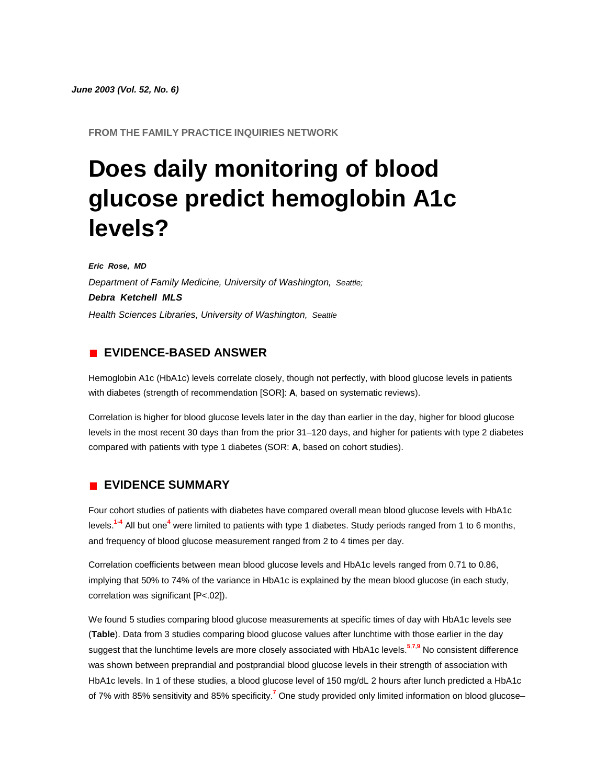*June 2003 (Vol. 52, No. 6)*

**FROM THE FAMILY PRACTICE INQUIRIES NETWORK**

# **Does daily monitoring of blood glucose predict hemoglobin A1c levels?**

*Eric Rose, MD Department of Family Medicine, University of Washington, Seattle; Debra Ketchell MLS Health Sciences Libraries, University of Washington, Seattle*

## **EVIDENCE-BASED ANSWER**

Hemoglobin A1c (HbA1c) levels correlate closely, though not perfectly, with blood glucose levels in patients with diabetes (strength of recommendation [SOR]: **A**, based on systematic reviews).

Correlation is higher for blood glucose levels later in the day than earlier in the day, higher for blood glucose levels in the most recent 30 days than from the prior 31–120 days, and higher for patients with type 2 diabetes compared with patients with type 1 diabetes (SOR: **A**, based on cohort studies).

# **EVIDENCE SUMMARY**

Four cohort studies of patients with diabetes have compared overall mean blood glucose levels with HbA1c level[s.](http://www.jfponline.com/Pages.asp?AID=1473&issue=June_2003&UID=#bib1)**<sup>1</sup>**-**[4](http://www.jfponline.com/Pages.asp?AID=1473&issue=June_2003&UID=#bib4)** All but on[e](http://www.jfponline.com/Pages.asp?AID=1473&issue=June_2003&UID=#bib4)**<sup>4</sup>** were limited to patients with type 1 diabetes. Study periods ranged from 1 to 6 months, and frequency of blood glucose measurement ranged from 2 to 4 times per day.

Correlation coefficients between mean blood glucose levels and HbA1c levels ranged from 0.71 to 0.86, implying that 50% to 74% of the variance in HbA1c is explained by the mean blood glucose (in each study, correlation was significant [P<.02]).

We found 5 studies comparing blood glucose measurements at specific times of day with HbA1c levels see (**[Table](http://www.jfponline.com/Pages.asp?AID=1473&issue=June_2003&UID=#5206JFP_ClinicalInquiries-tab1)**). Data from 3 studies comparing blood glucose values after lunchtime with those earlier in the day suggest that the lunchtime levels are more closely associated with HbA1c level[s.](http://www.jfponline.com/Pages.asp?AID=1473&issue=June_2003&UID=#bib5)**<sup>5</sup>**,**[7](http://www.jfponline.com/Pages.asp?AID=1473&issue=June_2003&UID=#bib7)**,**[9](http://www.jfponline.com/Pages.asp?AID=1473&issue=June_2003&UID=#bib9)** No consistent difference was shown between preprandial and postprandial blood glucose levels in their strength of association with HbA1c levels. In 1 of these studies, a blood glucose level of 150 mg/dL 2 hours after lunch predicted a HbA1c of 7% with 85% sensitivity and 85% specificit[y.](http://www.jfponline.com/Pages.asp?AID=1473&issue=June_2003&UID=#bib7)**<sup>7</sup>** One study provided only limited information on blood glucose–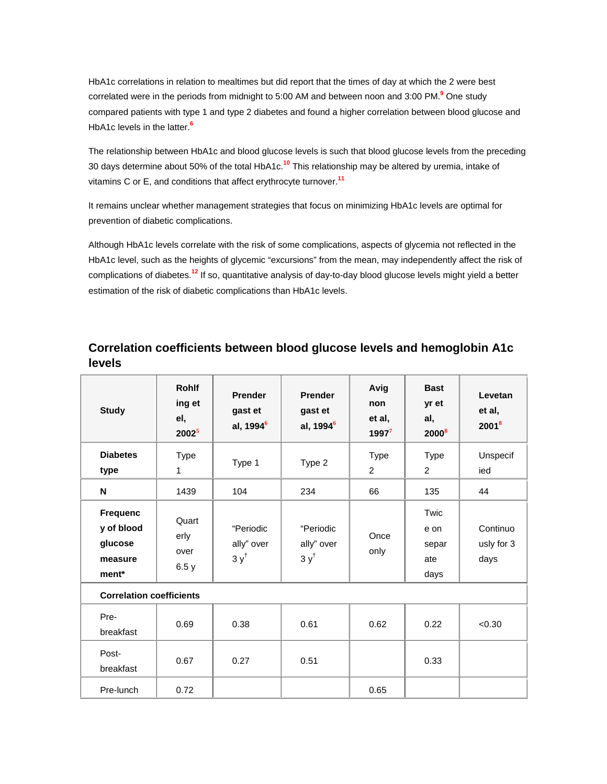HbA1c correlations in relation to mealtimes but did report that the times of day at which the 2 were best correlated were in the periods from midnight to 5:00 AM and between noon and 3:00 P[M.](http://www.jfponline.com/Pages.asp?AID=1473&issue=June_2003&UID=#bib9)**<sup>9</sup>** One study compared patients with type 1 and type 2 diabetes and found a higher correlation between blood glucose and HbA1c levels in the latte[r.](http://www.jfponline.com/Pages.asp?AID=1473&issue=June_2003&UID=#bib6)**<sup>6</sup>**

The relationship between HbA1c and blood glucose levels is such that blood glucose levels from the preceding 30 days determine about 50% of the total HbA1c.**[10](http://www.jfponline.com/Pages.asp?AID=1473&issue=June_2003&UID=#bib10)** This relationship may be altered by uremia, intake of vitamins C or E, and conditions that affect erythrocyte turnover.**[11](http://www.jfponline.com/Pages.asp?AID=1473&issue=June_2003&UID=#bib11)**

It remains unclear whether management strategies that focus on minimizing HbA1c levels are optimal for prevention of diabetic complications.

Although HbA1c levels correlate with the risk of some complications, aspects of glycemia not reflected in the HbA1c level, such as the heights of glycemic "excursions" from the mean, may independently affect the risk of complications of diabetes.**[12](http://www.jfponline.com/Pages.asp?AID=1473&issue=June_2003&UID=#bib12)** If so, quantitative analysis of day-to-day blood glucose levels might yield a better estimation of the risk of diabetic complications than HbA1c levels.

# **Correlation coefficients between blood glucose levels and hemoglobin A1c levels**

| <b>Study</b>                                                 | <b>Rohlf</b><br>ing et<br>el,<br>$2002^5$ | <b>Prender</b><br>gast et<br>al, 1994 <sup>6</sup> | <b>Prender</b><br>gast et<br>al, 1994 <sup>6</sup> | Avig<br>non<br>et al,<br>$1997^7$ | <b>Bast</b><br>yr et<br>al,<br>2000 <sup>8</sup> | Levetan<br>et al,<br>$2001^8$  |  |  |  |
|--------------------------------------------------------------|-------------------------------------------|----------------------------------------------------|----------------------------------------------------|-----------------------------------|--------------------------------------------------|--------------------------------|--|--|--|
| <b>Diabetes</b><br>type                                      | <b>Type</b><br>1                          | Type 1                                             | Type 2                                             | <b>Type</b><br>2                  | <b>Type</b><br>2                                 | Unspecif<br>ied                |  |  |  |
| N                                                            | 1439                                      | 104                                                | 234                                                | 66                                | 135                                              | 44                             |  |  |  |
| <b>Frequenc</b><br>y of blood<br>glucose<br>measure<br>ment* | Quart<br>erly<br>over<br>6.5y             | "Periodic<br>ally" over<br>$3y^{\dagger}$          | "Periodic<br>ally" over<br>$3y^{\dagger}$          | Once<br>only                      | Twic<br>e on<br>separ<br>ate<br>days             | Continuo<br>usly for 3<br>days |  |  |  |
| <b>Correlation coefficients</b>                              |                                           |                                                    |                                                    |                                   |                                                  |                                |  |  |  |
| Pre-<br>breakfast                                            | 0.69                                      | 0.38                                               | 0.61                                               | 0.62                              | 0.22                                             | < 0.30                         |  |  |  |
| Post-<br>breakfast                                           | 0.67                                      | 0.27                                               | 0.51                                               |                                   | 0.33                                             |                                |  |  |  |
| Pre-lunch                                                    | 0.72                                      |                                                    |                                                    | 0.65                              |                                                  |                                |  |  |  |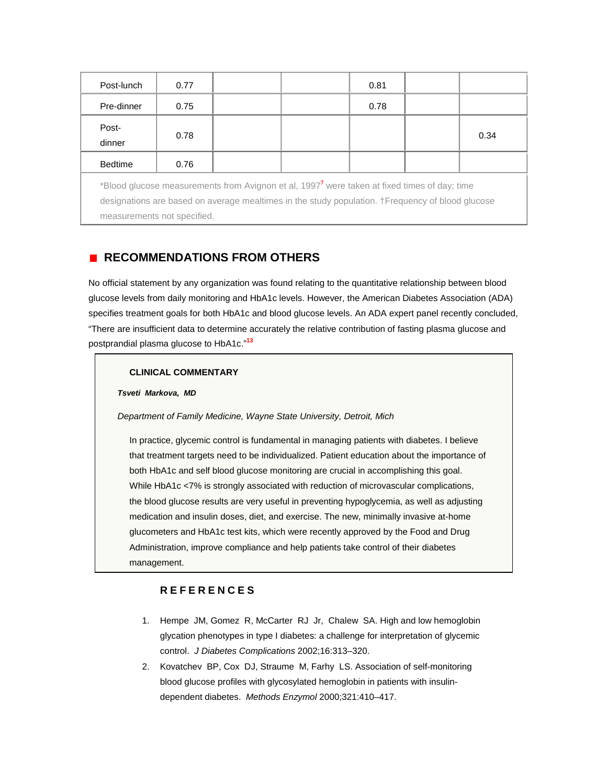| Post-lunch                                                                                                                                                                                                                                  | 0.77 |  |  | 0.81 |  |      |  |  |
|---------------------------------------------------------------------------------------------------------------------------------------------------------------------------------------------------------------------------------------------|------|--|--|------|--|------|--|--|
| Pre-dinner                                                                                                                                                                                                                                  | 0.75 |  |  | 0.78 |  |      |  |  |
| Post-<br>dinner                                                                                                                                                                                                                             | 0.78 |  |  |      |  | 0.34 |  |  |
| <b>Bedtime</b>                                                                                                                                                                                                                              | 0.76 |  |  |      |  |      |  |  |
| *Blood glucose measurements from Avignon et al, 1997 <sup>7</sup> were taken at fixed times of day; time<br>designations are based on average mealtimes in the study population. +Frequency of blood glucose<br>measurements not specified. |      |  |  |      |  |      |  |  |

# **RECOMMENDATIONS FROM OTHERS**

No official statement by any organization was found relating to the quantitative relationship between blood glucose levels from daily monitoring and HbA1c levels. However, the American Diabetes Association (ADA) specifies treatment goals for both HbA1c and blood glucose levels. An ADA expert panel recently concluded, "There are insufficient data to determine accurately the relative contribution of fasting plasma glucose and postprandial plasma glucose to HbA1c."**[13](http://www.jfponline.com/Pages.asp?AID=1473&issue=June_2003&UID=#bib13)**

#### **CLINICAL COMMENTARY**

#### *Tsveti Markova, MD*

*Department of Family Medicine, Wayne State University, Detroit, Mich*

In practice, glycemic control is fundamental in managing patients with diabetes. I believe that treatment targets need to be individualized. Patient education about the importance of both HbA1c and self blood glucose monitoring are crucial in accomplishing this goal. While HbA1c <7% is strongly associated with reduction of microvascular complications, the blood glucose results are very useful in preventing hypoglycemia, as well as adjusting medication and insulin doses, diet, and exercise. The new, minimally invasive at-home glucometers and HbA1c test kits, which were recently approved by the Food and Drug Administration, improve compliance and help patients take control of their diabetes management.

## **REFERENCES**

- 1. Hempe JM, Gomez R, McCarter RJ Jr, Chalew SA. High and low hemoglobin glycation phenotypes in type I diabetes: a challenge for interpretation of glycemic control. *J Diabetes Complications* 2002;16:313–320.
- 2. Kovatchev BP, Cox DJ, Straume M, Farhy LS. Association of self-monitoring blood glucose profiles with glycosylated hemoglobin in patients with insulindependent diabetes. *Methods Enzymol* 2000;321:410–417.